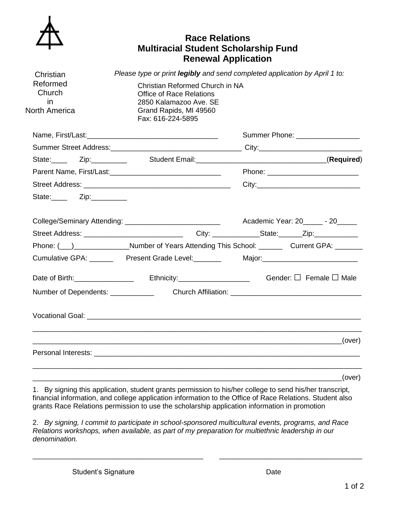

## **Race Relations Multiracial Student Scholarship Fund Renewal Application**

| Christian                                         | Please type or print legibly and send completed application by April 1 to:                                                                  |                                                                                                             |  |
|---------------------------------------------------|---------------------------------------------------------------------------------------------------------------------------------------------|-------------------------------------------------------------------------------------------------------------|--|
| Reformed<br>Church<br>in.<br><b>North America</b> | Christian Reformed Church in NA<br><b>Office of Race Relations</b><br>2850 Kalamazoo Ave. SE<br>Grand Rapids, MI 49560<br>Fax: 616-224-5895 |                                                                                                             |  |
|                                                   |                                                                                                                                             | Summer Phone: __________________                                                                            |  |
|                                                   |                                                                                                                                             |                                                                                                             |  |
|                                                   |                                                                                                                                             |                                                                                                             |  |
|                                                   |                                                                                                                                             |                                                                                                             |  |
|                                                   |                                                                                                                                             |                                                                                                             |  |
| State:__________ Zip:___________                  |                                                                                                                                             |                                                                                                             |  |
|                                                   |                                                                                                                                             | Academic Year: 20 - 20                                                                                      |  |
|                                                   |                                                                                                                                             |                                                                                                             |  |
|                                                   |                                                                                                                                             | Phone: ( <u>)</u> Number of Years Attending This School: Current GPA: Current GPA:                          |  |
|                                                   | Cumulative GPA: _________ Present Grade Level: ________                                                                                     |                                                                                                             |  |
|                                                   |                                                                                                                                             | Date of Birth: ___________________________Ethnicity: _______________________________Gender: □ Female □ Male |  |
|                                                   |                                                                                                                                             | Number of Dependents: Church Affiliation: Church Affiliation:                                               |  |
|                                                   |                                                                                                                                             |                                                                                                             |  |
|                                                   |                                                                                                                                             |                                                                                                             |  |
|                                                   |                                                                                                                                             |                                                                                                             |  |
|                                                   |                                                                                                                                             |                                                                                                             |  |

1. By signing this application, student grants permission to his/her college to send his/her transcript, financial information, and college application information to the Office of Race Relations. Student also grants Race Relations permission to use the scholarship application information in promotion

\_\_\_\_\_\_\_\_\_\_\_\_\_\_\_\_\_\_\_\_\_\_\_\_\_\_\_\_\_\_\_\_\_\_\_\_\_\_\_\_\_\_\_\_\_\_\_\_\_\_\_\_\_\_\_\_\_\_\_\_\_\_\_\_\_\_\_\_\_\_\_\_\_\_\_\_\_\_(over)

2. *By signing, I commit to participate in school-sponsored multicultural events, programs, and Race Relations workshops, when available, as part of my preparation for multiethnic leadership in our denomination.*

\_\_\_\_\_\_\_\_\_\_\_\_\_\_\_\_\_\_\_\_\_\_\_\_\_\_\_\_\_\_\_\_\_\_\_\_\_\_\_\_\_\_\_ \_\_\_\_\_\_\_\_\_\_\_\_\_\_\_\_\_\_\_\_\_\_\_\_\_\_\_\_\_\_\_\_\_\_\_\_

Student's Signature Date